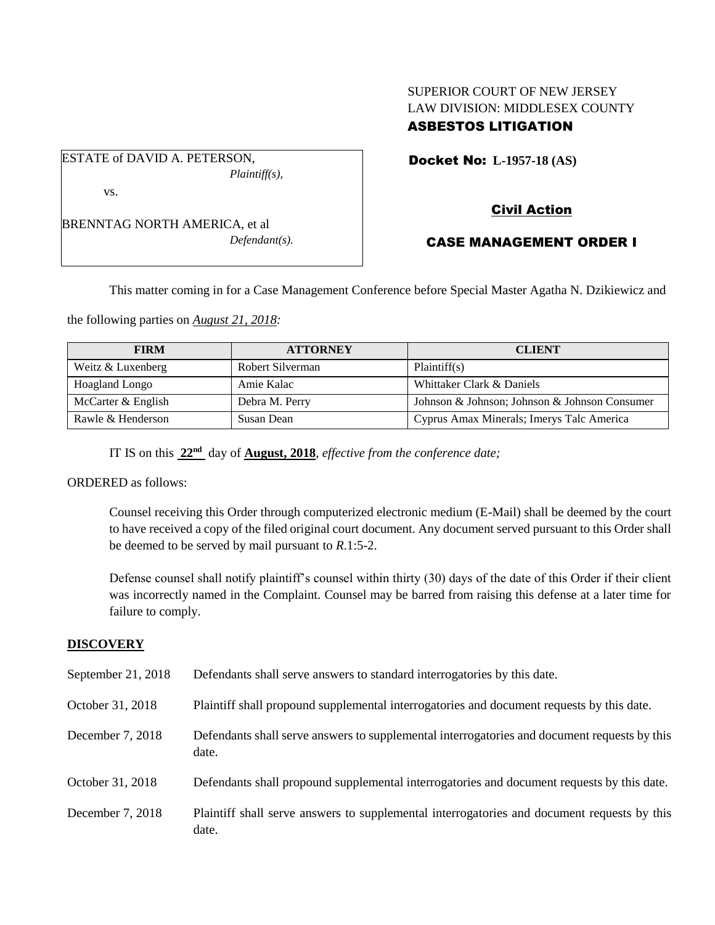# SUPERIOR COURT OF NEW JERSEY LAW DIVISION: MIDDLESEX COUNTY ASBESTOS LITIGATION

Docket No: **L-1957-18 (AS)** 

*Plaintiff(s),*

BRENNTAG NORTH AMERICA, et al *Defendant(s).*

ESTATE of DAVID A. PETERSON,

vs.

Civil Action

# CASE MANAGEMENT ORDER I

This matter coming in for a Case Management Conference before Special Master Agatha N. Dzikiewicz and

the following parties on *August 21, 2018:*

| <b>FIRM</b>        | <b>ATTORNEY</b>  | <b>CLIENT</b>                                 |
|--------------------|------------------|-----------------------------------------------|
| Weitz & Luxenberg  | Robert Silverman | Plaintiff(s)                                  |
| Hoagland Longo     | Amie Kalac       | Whittaker Clark & Daniels                     |
| McCarter & English | Debra M. Perry   | Johnson & Johnson; Johnson & Johnson Consumer |
| Rawle & Henderson  | Susan Dean       | Cyprus Amax Minerals; Imerys Talc America     |

IT IS on this **22nd** day of **August, 2018**, *effective from the conference date;*

ORDERED as follows:

Counsel receiving this Order through computerized electronic medium (E-Mail) shall be deemed by the court to have received a copy of the filed original court document. Any document served pursuant to this Order shall be deemed to be served by mail pursuant to *R*.1:5-2.

Defense counsel shall notify plaintiff's counsel within thirty (30) days of the date of this Order if their client was incorrectly named in the Complaint. Counsel may be barred from raising this defense at a later time for failure to comply.

## **DISCOVERY**

| September 21, 2018 | Defendants shall serve answers to standard interrogatories by this date.                              |
|--------------------|-------------------------------------------------------------------------------------------------------|
| October 31, 2018   | Plaintiff shall propound supplemental interrogatories and document requests by this date.             |
| December 7, 2018   | Defendants shall serve answers to supplemental interrogatories and document requests by this<br>date. |
| October 31, 2018   | Defendants shall propound supplemental interrogatories and document requests by this date.            |
| December 7, 2018   | Plaintiff shall serve answers to supplemental interrogatories and document requests by this<br>date.  |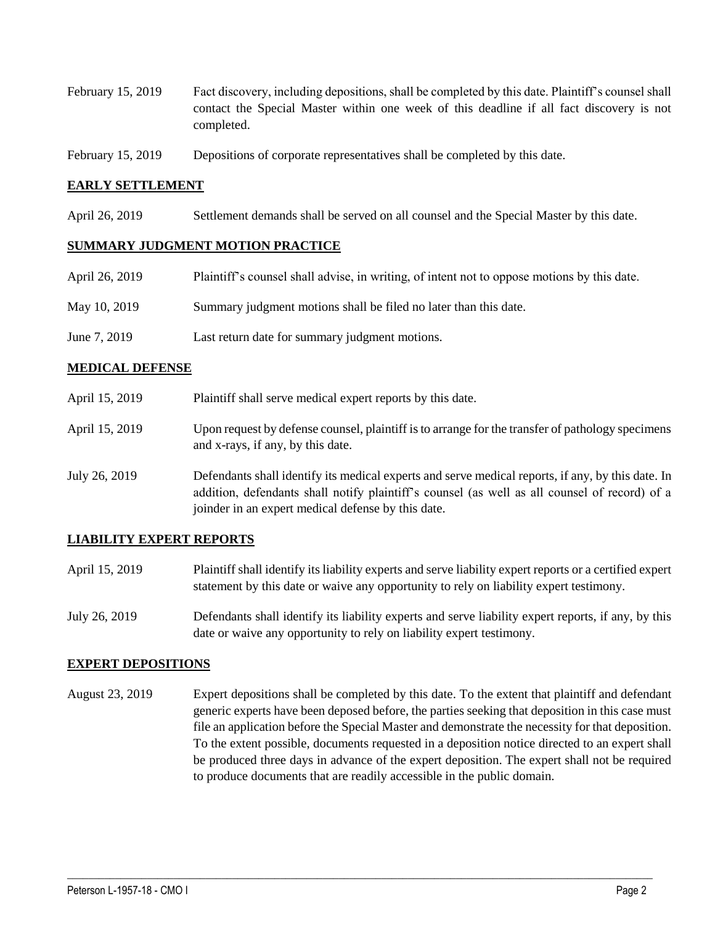- February 15, 2019 Fact discovery, including depositions, shall be completed by this date. Plaintiff's counsel shall contact the Special Master within one week of this deadline if all fact discovery is not completed.
- February 15, 2019 Depositions of corporate representatives shall be completed by this date.

## **EARLY SETTLEMENT**

April 26, 2019 Settlement demands shall be served on all counsel and the Special Master by this date.

#### **SUMMARY JUDGMENT MOTION PRACTICE**

| April 26, 2019 | Plaintiff's counsel shall advise, in writing, of intent not to oppose motions by this date. |
|----------------|---------------------------------------------------------------------------------------------|
| May 10, 2019   | Summary judgment motions shall be filed no later than this date.                            |
| June 7, 2019   | Last return date for summary judgment motions.                                              |

#### **MEDICAL DEFENSE**

- April 15, 2019 Plaintiff shall serve medical expert reports by this date.
- April 15, 2019 Upon request by defense counsel, plaintiff is to arrange for the transfer of pathology specimens and x-rays, if any, by this date.
- July 26, 2019 Defendants shall identify its medical experts and serve medical reports, if any, by this date. In addition, defendants shall notify plaintiff's counsel (as well as all counsel of record) of a joinder in an expert medical defense by this date.

## **LIABILITY EXPERT REPORTS**

- April 15, 2019 Plaintiff shall identify its liability experts and serve liability expert reports or a certified expert statement by this date or waive any opportunity to rely on liability expert testimony.
- July 26, 2019 Defendants shall identify its liability experts and serve liability expert reports, if any, by this date or waive any opportunity to rely on liability expert testimony.

#### **EXPERT DEPOSITIONS**

August 23, 2019 Expert depositions shall be completed by this date. To the extent that plaintiff and defendant generic experts have been deposed before, the parties seeking that deposition in this case must file an application before the Special Master and demonstrate the necessity for that deposition. To the extent possible, documents requested in a deposition notice directed to an expert shall be produced three days in advance of the expert deposition. The expert shall not be required to produce documents that are readily accessible in the public domain.

 $\_$  ,  $\_$  ,  $\_$  ,  $\_$  ,  $\_$  ,  $\_$  ,  $\_$  ,  $\_$  ,  $\_$  ,  $\_$  ,  $\_$  ,  $\_$  ,  $\_$  ,  $\_$  ,  $\_$  ,  $\_$  ,  $\_$  ,  $\_$  ,  $\_$  ,  $\_$  ,  $\_$  ,  $\_$  ,  $\_$  ,  $\_$  ,  $\_$  ,  $\_$  ,  $\_$  ,  $\_$  ,  $\_$  ,  $\_$  ,  $\_$  ,  $\_$  ,  $\_$  ,  $\_$  ,  $\_$  ,  $\_$  ,  $\_$  ,